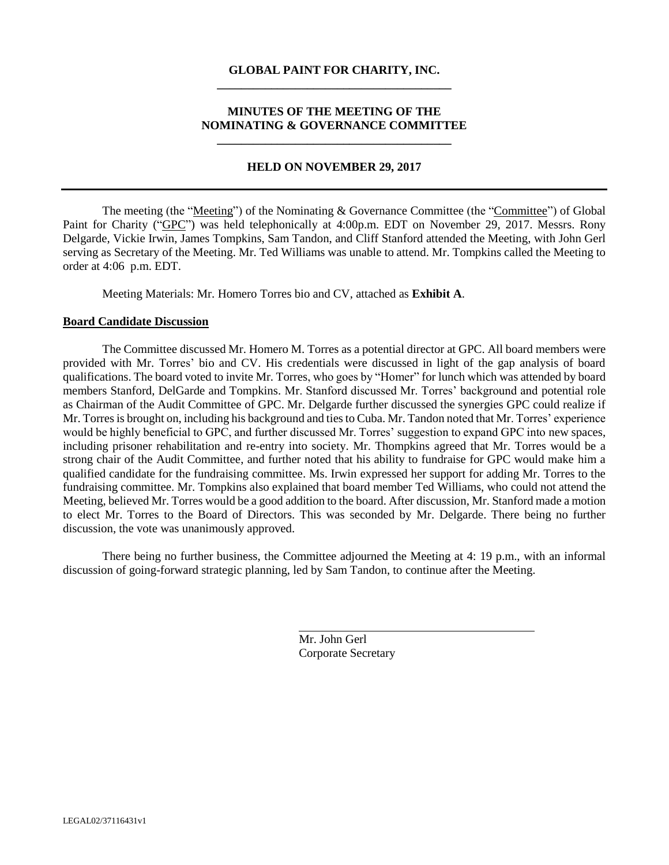## **GLOBAL PAINT FOR CHARITY, INC. \_\_\_\_\_\_\_\_\_\_\_\_\_\_\_\_\_\_\_\_\_\_\_\_\_\_\_\_\_\_\_\_\_\_\_\_\_\_\_**

### **MINUTES OF THE MEETING OF THE NOMINATING & GOVERNANCE COMMITTEE \_\_\_\_\_\_\_\_\_\_\_\_\_\_\_\_\_\_\_\_\_\_\_\_\_\_\_\_\_\_\_\_\_\_\_\_\_\_\_**

#### **HELD ON NOVEMBER 29, 2017**

The meeting (the "Meeting") of the Nominating & Governance Committee (the "Committee") of Global Paint for Charity ("GPC") was held telephonically at 4:00p.m. EDT on November 29, 2017. Messrs. Rony Delgarde, Vickie Irwin, James Tompkins, Sam Tandon, and Cliff Stanford attended the Meeting, with John Gerl serving as Secretary of the Meeting. Mr. Ted Williams was unable to attend. Mr. Tompkins called the Meeting to order at 4:06 p.m. EDT.

Meeting Materials: Mr. Homero Torres bio and CV, attached as **Exhibit A**.

#### **Board Candidate Discussion**

The Committee discussed Mr. Homero M. Torres as a potential director at GPC. All board members were provided with Mr. Torres' bio and CV. His credentials were discussed in light of the gap analysis of board qualifications. The board voted to invite Mr. Torres, who goes by "Homer" for lunch which was attended by board members Stanford, DelGarde and Tompkins. Mr. Stanford discussed Mr. Torres' background and potential role as Chairman of the Audit Committee of GPC. Mr. Delgarde further discussed the synergies GPC could realize if Mr. Torres is brought on, including his background and ties to Cuba. Mr. Tandon noted that Mr. Torres' experience would be highly beneficial to GPC, and further discussed Mr. Torres' suggestion to expand GPC into new spaces, including prisoner rehabilitation and re-entry into society. Mr. Thompkins agreed that Mr. Torres would be a strong chair of the Audit Committee, and further noted that his ability to fundraise for GPC would make him a qualified candidate for the fundraising committee. Ms. Irwin expressed her support for adding Mr. Torres to the fundraising committee. Mr. Tompkins also explained that board member Ted Williams, who could not attend the Meeting, believed Mr. Torres would be a good addition to the board. After discussion, Mr. Stanford made a motion to elect Mr. Torres to the Board of Directors. This was seconded by Mr. Delgarde. There being no further discussion, the vote was unanimously approved.

There being no further business, the Committee adjourned the Meeting at 4: 19 p.m., with an informal discussion of going-forward strategic planning, led by Sam Tandon, to continue after the Meeting.

> Mr. John Gerl Corporate Secretary